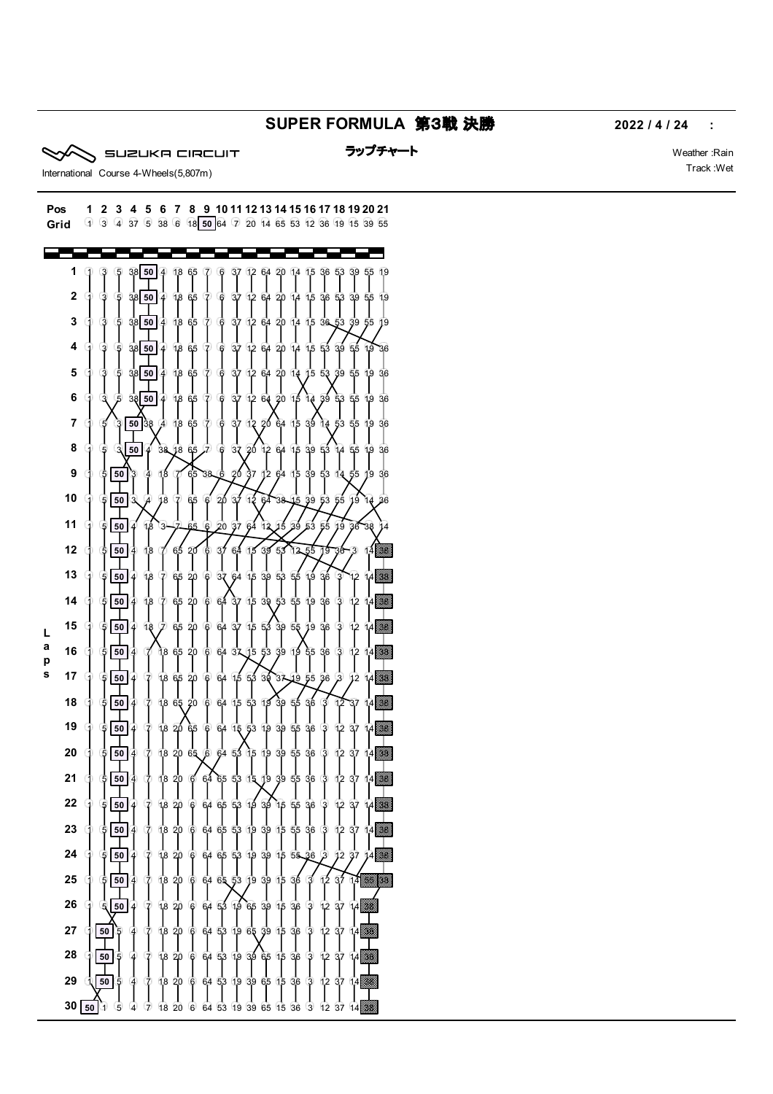## **SUPER FORMULA** 第3戦 決勝 **2022 / 4 / 24 :**

```
SUZUKA CIRCUIT
```
ラップチャート マンディング・シーク Weather :Rain

 ե<br>9

> 

 

   

> 

38

 

 

38

 

37

18 20 6 64 53 19 39 65 15 36 3

 



 

 

 

 $\mathbf{I}$